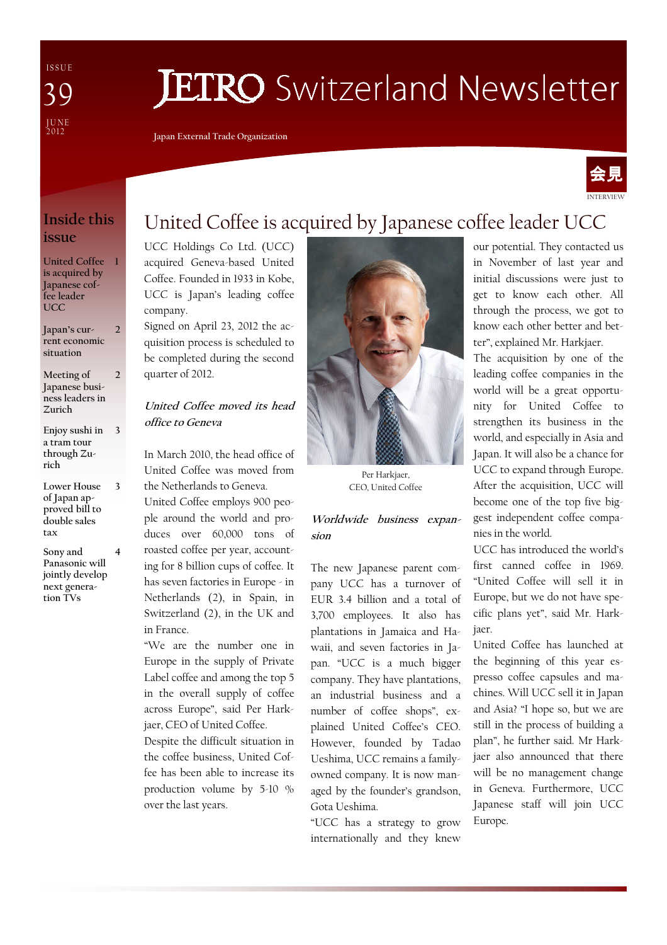I S S U E J U N E<br>2012 39

# **JETRO** Switzerland Newsletter

Japan External Trade Organization



### Inside this issue

United Coffee 1 is acquired by Japanese coffee leader UCC

Japan's current economic situation  $\overline{\mathcal{L}}$ 

- Meeting of Japanese business leaders in Zurich  $\overline{2}$
- Enjoy sushi in a tram tour through Zurich 3
- Lower House of Japan approved bill to double sales tax

3

Sony and Panasonic will jointly develop next generation TVs 4

## United Coffee is acquired by Japanese coffee leader UCC

UCC Holdings Co Ltd. (UCC) acquired Geneva-based United Coffee. Founded in 1933 in Kobe, UCC is Japan's leading coffee company.

Signed on April 23, 2012 the acquisition process is scheduled to be completed during the second quarter of 2012.

#### United Coffee moved its head office to Geneva

In March 2010, the head office of United Coffee was moved from the Netherlands to Geneva.

United Coffee employs 900 people around the world and produces over 60,000 tons of roasted coffee per year, accounting for 8 billion cups of coffee. It has seven factories in Europe - in Netherlands (2), in Spain, in Switzerland (2), in the UK and in France.

"We are the number one in Europe in the supply of Private Label coffee and among the top 5 in the overall supply of coffee across Europe", said Per Harkjaer, CEO of United Coffee.

Despite the difficult situation in the coffee business, United Coffee has been able to increase its production volume by 5-10 % over the last years.



Per Harkjaer, CEO, United Coffee

#### Worldwide business expansion

The new Japanese parent company UCC has a turnover of EUR 3.4 billion and a total of 3,700 employees. It also has plantations in Jamaica and Hawaii, and seven factories in Japan. "UCC is a much bigger company. They have plantations, an industrial business and a number of coffee shops", explained United Coffee's CEO. However, founded by Tadao Ueshima, UCC remains a familyowned company. It is now managed by the founder's grandson, Gota Ueshima.

"UCC has a strategy to grow internationally and they knew

our potential. They contacted us in November of last year and initial discussions were just to get to know each other. All through the process, we got to know each other better and better", explained Mr. Harkjaer.

The acquisition by one of the leading coffee companies in the world will be a great opportunity for United Coffee to strengthen its business in the world, and especially in Asia and Japan. It will also be a chance for UCC to expand through Europe. After the acquisition, UCC will become one of the top five biggest independent coffee companies in the world.

UCC has introduced the world's first canned coffee in 1969. "United Coffee will sell it in Europe, but we do not have specific plans yet", said Mr. Harkjaer.

United Coffee has launched at the beginning of this year espresso coffee capsules and machines. Will UCC sell it in Japan and Asia? "I hope so, but we are still in the process of building a plan", he further said. Mr Harkjaer also announced that there will be no management change in Geneva. Furthermore, UCC Japanese staff will join UCC Europe.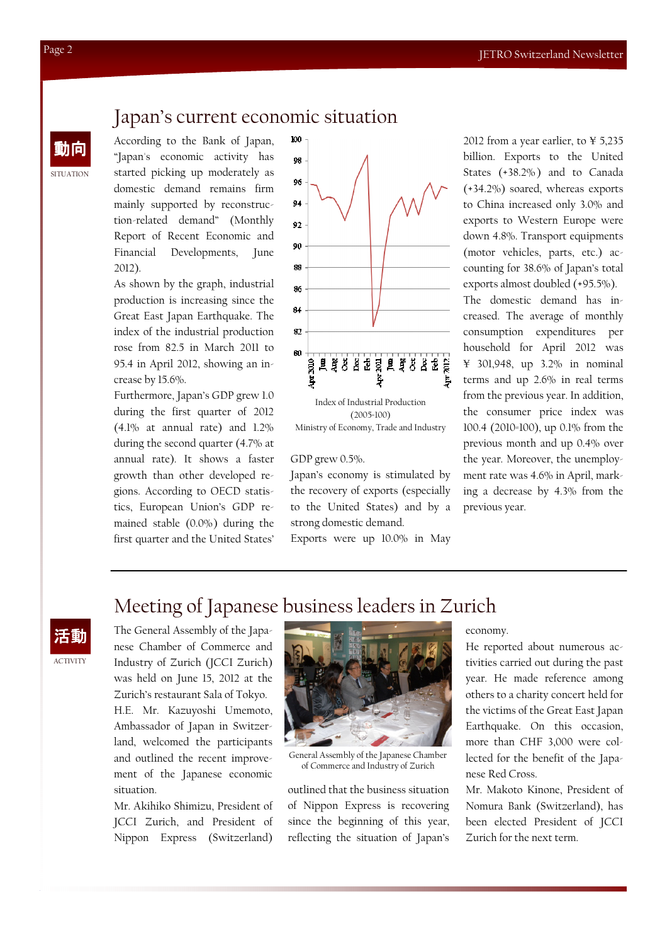### Japan's current economic situation

According to the Bank of Japan, "Japan's economic activity has started picking up moderately as domestic demand remains firm mainly supported by reconstruction-related demand" (Monthly Report of Recent Economic and Financial Developments, June 2012).

As shown by the graph, industrial production is increasing since the Great East Japan Earthquake. The index of the industrial production rose from 82.5 in March 2011 to 95.4 in April 2012, showing an increase by 15.6%.

Furthermore, Japan's GDP grew 1.0 during the first quarter of 2012 (4.1% at annual rate) and 1.2% during the second quarter (4.7% at annual rate). It shows a faster growth than other developed regions. According to OECD statistics, European Union's GDP remained stable (0.0%) during the first quarter and the United States'



 $(2005=100)$ Ministry of Economy, Trade and Industry

#### GDP grew 0.5%.

Japan's economy is stimulated by the recovery of exports (especially to the United States) and by a strong domestic demand.

Exports were up 10.0% in May

and the Bank of Japan, 2002 from a year earlier, to ¥ 5,235<br>
and the United Strapan's economic activity has  $\begin{array}{ccc} 100 & 2012 \text{ from a year earlier, to } 45,235 \end{array}$ billion. Exports to the United States (+38.2%) and to Canada (+34.2%) soared, whereas exports to China increased only 3.0% and exports to Western Europe were down 4.8%. Transport equipments (motor vehicles, parts, etc.) accounting for 38.6% of Japan's total exports almost doubled (+95.5%).

> The domestic demand has increased. The average of monthly consumption expenditures per household for April 2012 was ¥ 301,948, up 3.2% in nominal terms and up 2.6% in real terms from the previous year. In addition, the consumer price index was 100.4 (2010=100), up 0.1% from the previous month and up 0.4% over the year. Moreover, the unemployment rate was 4.6% in April, marking a decrease by 4.3% from the previous year.

### Meeting of Japanese business leaders in Zurich



The General Assembly of the Japanese Chamber of Commerce and Industry of Zurich (JCCI Zurich) was held on June 15, 2012 at the Zurich's restaurant Sala of Tokyo. H.E. Mr. Kazuyoshi Umemoto, Ambassador of Japan in Switzerland, welcomed the participants and outlined the recent improvement of the Japanese economic situation.

Mr. Akihiko Shimizu, President of JCCI Zurich, and President of Nippon Express (Switzerland)



General Assembly of the Japanese Chamber of Commerce and Industry of Zurich

outlined that the business situation of Nippon Express is recovering since the beginning of this year, reflecting the situation of Japan's

economy.

He reported about numerous activities carried out during the past year. He made reference among others to a charity concert held for the victims of the Great East Japan Earthquake. On this occasion, more than CHF 3,000 were collected for the benefit of the Japanese Red Cross.

Mr. Makoto Kinone, President of Nomura Bank (Switzerland), has been elected President of JCCI Zurich for the next term.

**SITUATION**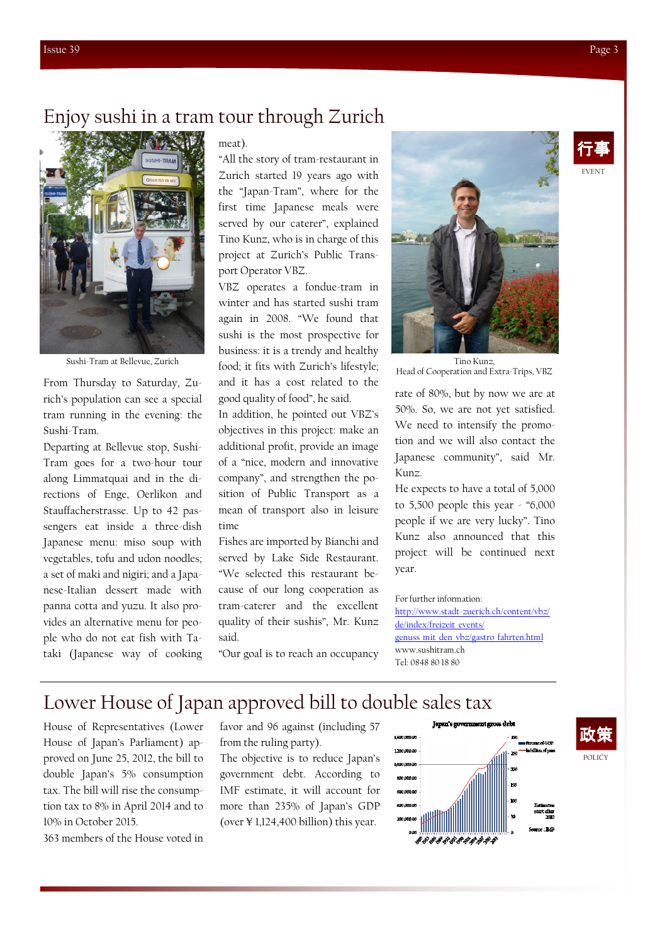### Enjoy sushi in a tram tour through Zurich



Sushi-Tram at Bellevue, Zurich

From Thursday to Saturday, Zurich's population can see a special tram running in the evening: the Sushi-Tram.

Departing at Bellevue stop, Sushi-Tram goes for a two-hour tour along Limmatquai and in the directions of Enge, Oerlikon and Stauffacherstrasse. Up to 42 passengers eat inside a three-dish Japanese menu: miso soup with vegetables, tofu and udon noodles; a set of maki and nigiri; and a Japanese-Italian dessert made with panna cotta and yuzu. It also provides an alternative menu for people who do not eat fish with Tataki (Japanese way of cooking

#### meat).

"All the story of tram-restaurant in Zurich started 19 years ago with the "Japan-Tram", where for the first time Japanese meals were served by our caterer", explained Tino Kunz, who is in charge of this project at Zurich's Public Transport Operator VBZ.

VBZ operates a fondue-tram in winter and has started sushi tram again in 2008. "We found that sushi is the most prospective for business: it is a trendy and healthy food; it fits with Zurich's lifestyle; and it has a cost related to the good quality of food", he said.

In addition, he pointed out VBZ's objectives in this project: make an additional profit, provide an image of a "nice, modern and innovative company", and strengthen the position of Public Transport as a mean of transport also in leisure time

Fishes are imported by Bianchi and served by Lake Side Restaurant. "We selected this restaurant because of our long cooperation as tram-caterer and the excellent quality of their sushis", Mr. Kunz said.

"Our goal is to reach an occupancy



Head of Cooperation and Extra-Trips, VBZ

rate of 80%, but by now we are at 50%. So, we are not yet satisfied. We need to intensify the promotion and we will also contact the Japanese community", said Mr. Kunz.

He expects to have a total of 5,000 to 5,500 people this year - "6,000 people if we are very lucky". Tino Kunz also announced that this project will be continued next year.

#### For further information:

http://www.stadt-zuerich.ch/content/vbz/ de/index/freizeit\_events/ genuss mit den vbz/gastro fahrten.html www.sushitram.ch Tel: 0848 80 18 80

### Lower House of Japan approved bill to double sales tax

House of Representatives (Lower House of Japan's Parliament) approved on June 25, 2012, the bill to double Japan's 5% consumption tax. The bill will rise the consumption tax to 8% in April 2014 and to 10% in October 2015.

363 members of the House voted in

favor and 96 against (including 57 from the ruling party).

The objective is to reduce Japan's government debt. According to IMF estimate, it will account for more than 235% of Japan's GDP (over ¥ 1,124,400 billion) this year.



EVENT 行事